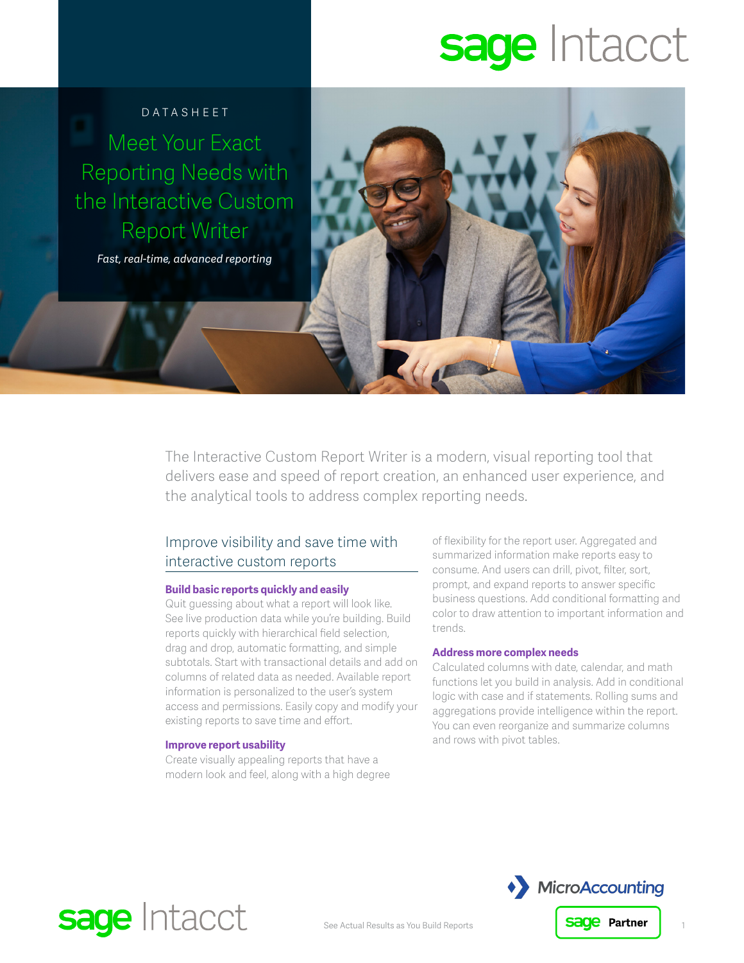# sage Intacct

### Datasheet

Meet Your Exact Reporting Needs with the Interactive Custom Report Writer

*Fast, real-time, advanced reporting* 

The Interactive Custom Report Writer is a modern, visual reporting tool that delivers ease and speed of report creation, an enhanced user experience, and the analytical tools to address complex reporting needs.

## Improve visibility and save time with interactive custom reports

#### **Build basic reports quickly and easily**

Quit guessing about what a report will look like. See live production data while you're building. Build reports quickly with hierarchical field selection, drag and drop, automatic formatting, and simple subtotals. Start with transactional details and add on columns of related data as needed. Available report information is personalized to the user's system access and permissions. Easily copy and modify your existing reports to save time and effort.

#### **Improve report usability**

sage Intacct

Create visually appealing reports that have a modern look and feel, along with a high degree of flexibility for the report user. Aggregated and summarized information make reports easy to consume. And users can drill, pivot, filter, sort, prompt, and expand reports to answer specific business questions. Add conditional formatting and color to draw attention to important information and trends.

#### **Address more complex needs**

Calculated columns with date, calendar, and math functions let you build in analysis. Add in conditional logic with case and if statements. Rolling sums and aggregations provide intelligence within the report. You can even reorganize and summarize columns and rows with pivot tables.